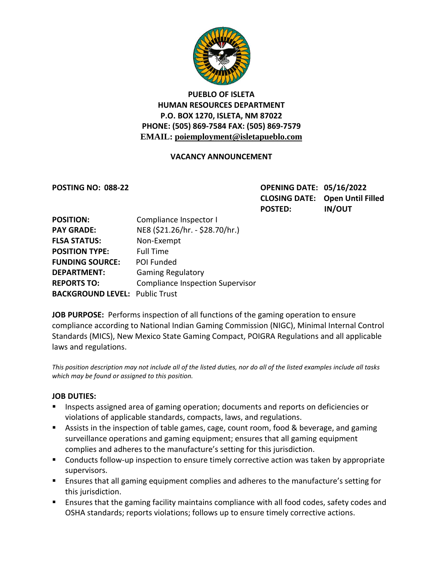

## **PUEBLO OF ISLETA HUMAN RESOURCES DEPARTMENT P.O. BOX 1270, ISLETA, NM 87022 PHONE: (505) 869-7584 FAX: (505) 869-7579 EMAIL: poiemployment@isletapueblo.com**

#### **VACANCY ANNOUNCEMENT**

**POSTING NO: 088-22 OPENING DATE: 05/16/2022 CLOSING DATE: Open Until Filled POSTED: IN/OUT**

| <b>POSITION:</b>                      | Compliance Inspector I                  |
|---------------------------------------|-----------------------------------------|
| <b>PAY GRADE:</b>                     | NE8 (\$21.26/hr. - \$28.70/hr.)         |
| <b>FLSA STATUS:</b>                   | Non-Exempt                              |
| <b>POSITION TYPE:</b>                 | <b>Full Time</b>                        |
| <b>FUNDING SOURCE:</b>                | POI Funded                              |
| <b>DEPARTMENT:</b>                    | <b>Gaming Regulatory</b>                |
| <b>REPORTS TO:</b>                    | <b>Compliance Inspection Supervisor</b> |
| <b>BACKGROUND LEVEL: Public Trust</b> |                                         |

**JOB PURPOSE:** Performs inspection of all functions of the gaming operation to ensure compliance according to National Indian Gaming Commission (NIGC), Minimal Internal Control Standards (MICS), New Mexico State Gaming Compact, POIGRA Regulations and all applicable laws and regulations.

*This position description may not include all of the listed duties, nor do all of the listed examples include all tasks which may be found or assigned to this position.*

#### **JOB DUTIES:**

- **Inspects assigned area of gaming operation; documents and reports on deficiencies or** violations of applicable standards, compacts, laws, and regulations.
- Assists in the inspection of table games, cage, count room, food & beverage, and gaming surveillance operations and gaming equipment; ensures that all gaming equipment complies and adheres to the manufacture's setting for this jurisdiction.
- **EXT** Conducts follow-up inspection to ensure timely corrective action was taken by appropriate supervisors.
- Ensures that all gaming equipment complies and adheres to the manufacture's setting for this jurisdiction.
- Ensures that the gaming facility maintains compliance with all food codes, safety codes and OSHA standards; reports violations; follows up to ensure timely corrective actions.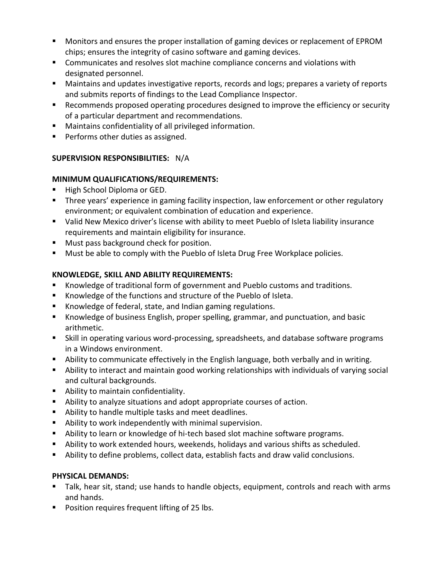- **Monitors and ensures the proper installation of gaming devices or replacement of EPROM** chips; ensures the integrity of casino software and gaming devices.
- Communicates and resolves slot machine compliance concerns and violations with designated personnel.
- Maintains and updates investigative reports, records and logs; prepares a variety of reports and submits reports of findings to the Lead Compliance Inspector.
- Recommends proposed operating procedures designed to improve the efficiency or security of a particular department and recommendations.
- Maintains confidentiality of all privileged information.
- **Performs other duties as assigned.**

# **SUPERVISION RESPONSIBILITIES:** N/A

## **MINIMUM QUALIFICATIONS/REQUIREMENTS:**

- High School Diploma or GED.
- Three years' experience in gaming facility inspection, law enforcement or other regulatory environment; or equivalent combination of education and experience.
- Valid New Mexico driver's license with ability to meet Pueblo of Isleta liability insurance requirements and maintain eligibility for insurance.
- **Must pass background check for position.**
- **Must be able to comply with the Pueblo of Isleta Drug Free Workplace policies.**

# **KNOWLEDGE, SKILL AND ABILITY REQUIREMENTS:**

- Knowledge of traditional form of government and Pueblo customs and traditions.
- Knowledge of the functions and structure of the Pueblo of Isleta.
- Knowledge of federal, state, and Indian gaming regulations.
- Knowledge of business English, proper spelling, grammar, and punctuation, and basic arithmetic.
- Skill in operating various word-processing, spreadsheets, and database software programs in a Windows environment.
- Ability to communicate effectively in the English language, both verbally and in writing.
- Ability to interact and maintain good working relationships with individuals of varying social and cultural backgrounds.
- **Ability to maintain confidentiality.**
- Ability to analyze situations and adopt appropriate courses of action.
- Ability to handle multiple tasks and meet deadlines.
- Ability to work independently with minimal supervision.
- **Ability to learn or knowledge of hi-tech based slot machine software programs.**
- Ability to work extended hours, weekends, holidays and various shifts as scheduled.
- Ability to define problems, collect data, establish facts and draw valid conclusions.

## **PHYSICAL DEMANDS:**

- Talk, hear sit, stand; use hands to handle objects, equipment, controls and reach with arms and hands.
- **Position requires frequent lifting of 25 lbs.**